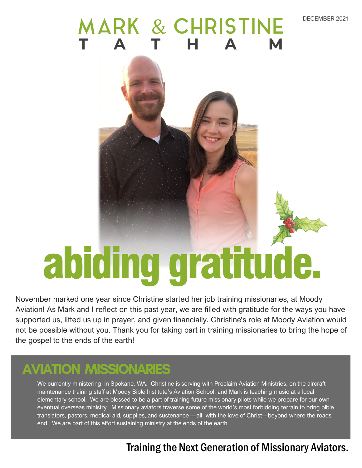#### DECEMBER 2021

## MARK & CHRISTINE



# abiding gratitude.

November marked one year since Christine started her job training missionaries, at Moody Aviation! As Mark and I reflect on this past year, we are filled with gratitude for the ways you have supported us, lifted us up in prayer, and given financially. Christine's role at Moody Aviation would not be possible without you. Thank you for taking part in training missionaries to bring the hope of the gospel to the ends of the earth!

#### **AVIATION MISSIONARIES**

We currently ministering in Spokane, WA. Christine is serving with Proclaim Aviation Ministries, on the aircraft maintenance training staff at Moody Bible Institute's Aviation School, and Mark is teaching music at a local elementary school. We are blessed to be a part of training future missionary pilots while we prepare for our own eventual overseas ministry. Missionary aviators traverse some of the world's most forbidding terrain to bring bible translators, pastors, medical aid, supplies, and sustenance —all with the love of Christ—beyond where the roads end. We are part of this effort sustaining ministry at the ends of the earth.

#### Training the Next Generation of Missionary Aviators.